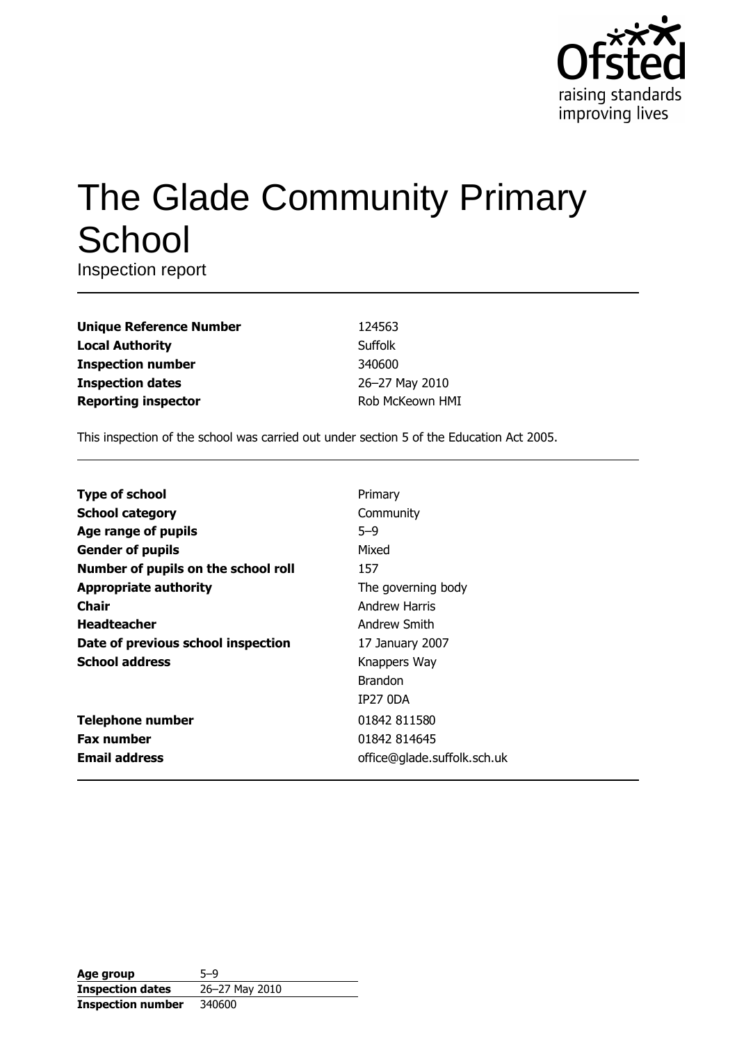

# The Glade Community Primary School

Inspection report

| <b>Unique Reference Number</b> |
|--------------------------------|
| <b>Local Authority</b>         |
| <b>Inspection number</b>       |
| <b>Inspection dates</b>        |
| <b>Reporting inspector</b>     |

124563 Suffolk 340600 26-27 May 2010 Rob McKeown HMI

This inspection of the school was carried out under section 5 of the Education Act 2005.

| <b>Type of school</b>               | Primary                     |
|-------------------------------------|-----------------------------|
| <b>School category</b>              | Community                   |
| Age range of pupils                 | $5 - 9$                     |
| <b>Gender of pupils</b>             | Mixed                       |
| Number of pupils on the school roll | 157                         |
| <b>Appropriate authority</b>        | The governing body          |
| <b>Chair</b>                        | <b>Andrew Harris</b>        |
| <b>Headteacher</b>                  | Andrew Smith                |
| Date of previous school inspection  | 17 January 2007             |
| <b>School address</b>               | Knappers Way                |
|                                     | <b>Brandon</b>              |
|                                     | <b>IP27 0DA</b>             |
| <b>Telephone number</b>             | 01842 811580                |
| <b>Fax number</b>                   | 01842 814645                |
| <b>Email address</b>                | office@glade.suffolk.sch.uk |

| Age group                | $5 - 9$        |
|--------------------------|----------------|
| <b>Inspection dates</b>  | 26-27 May 2010 |
| <b>Inspection number</b> | 340600         |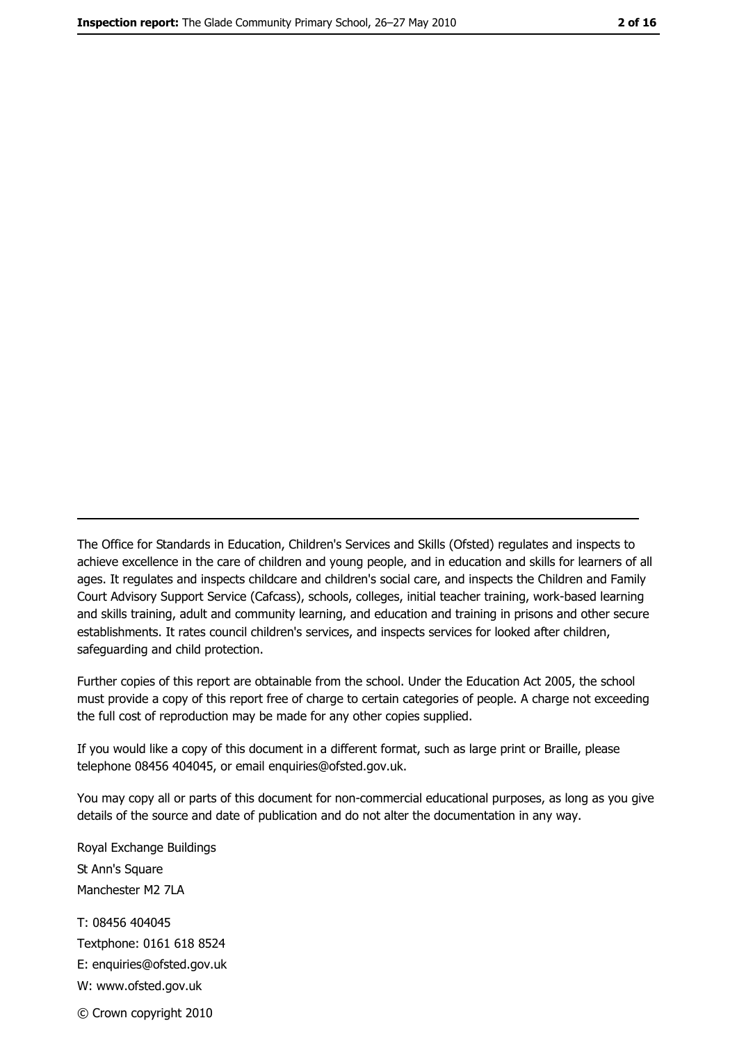The Office for Standards in Education, Children's Services and Skills (Ofsted) regulates and inspects to achieve excellence in the care of children and young people, and in education and skills for learners of all ages. It regulates and inspects childcare and children's social care, and inspects the Children and Family Court Advisory Support Service (Cafcass), schools, colleges, initial teacher training, work-based learning and skills training, adult and community learning, and education and training in prisons and other secure establishments. It rates council children's services, and inspects services for looked after children, safequarding and child protection.

Further copies of this report are obtainable from the school. Under the Education Act 2005, the school must provide a copy of this report free of charge to certain categories of people. A charge not exceeding the full cost of reproduction may be made for any other copies supplied.

If you would like a copy of this document in a different format, such as large print or Braille, please telephone 08456 404045, or email enquiries@ofsted.gov.uk.

You may copy all or parts of this document for non-commercial educational purposes, as long as you give details of the source and date of publication and do not alter the documentation in any way.

Royal Exchange Buildings St Ann's Square Manchester M2 7LA T: 08456 404045 Textphone: 0161 618 8524 E: enquiries@ofsted.gov.uk W: www.ofsted.gov.uk © Crown copyright 2010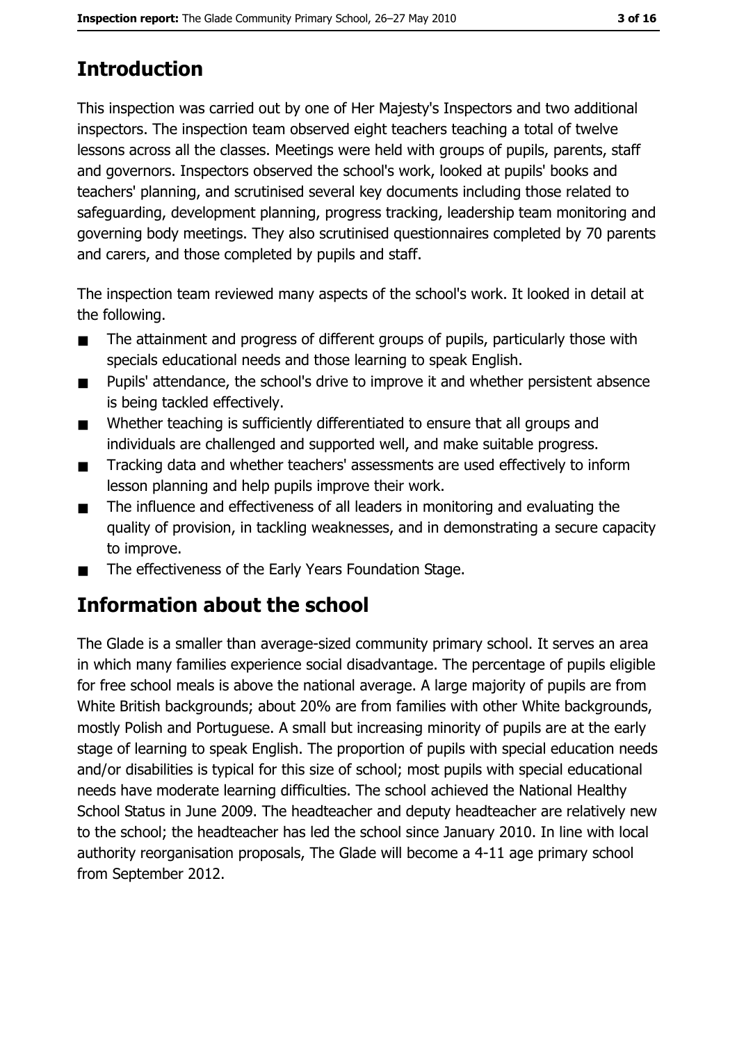# **Introduction**

This inspection was carried out by one of Her Majesty's Inspectors and two additional inspectors. The inspection team observed eight teachers teaching a total of twelve lessons across all the classes. Meetings were held with groups of pupils, parents, staff and governors. Inspectors observed the school's work, looked at pupils' books and teachers' planning, and scrutinised several key documents including those related to safeguarding, development planning, progress tracking, leadership team monitoring and governing body meetings. They also scrutinised questionnaires completed by 70 parents and carers, and those completed by pupils and staff.

The inspection team reviewed many aspects of the school's work. It looked in detail at the following.

- The attainment and progress of different groups of pupils, particularly those with  $\blacksquare$ specials educational needs and those learning to speak English.
- Pupils' attendance, the school's drive to improve it and whether persistent absence  $\blacksquare$ is being tackled effectively.
- Whether teaching is sufficiently differentiated to ensure that all groups and  $\blacksquare$ individuals are challenged and supported well, and make suitable progress.
- Tracking data and whether teachers' assessments are used effectively to inform  $\blacksquare$ lesson planning and help pupils improve their work.
- The influence and effectiveness of all leaders in monitoring and evaluating the  $\blacksquare$ quality of provision, in tackling weaknesses, and in demonstrating a secure capacity to improve.
- The effectiveness of the Early Years Foundation Stage.  $\blacksquare$

## **Information about the school**

The Glade is a smaller than average-sized community primary school. It serves an area in which many families experience social disadvantage. The percentage of pupils eligible for free school meals is above the national average. A large majority of pupils are from White British backgrounds; about 20% are from families with other White backgrounds, mostly Polish and Portuguese. A small but increasing minority of pupils are at the early stage of learning to speak English. The proportion of pupils with special education needs and/or disabilities is typical for this size of school; most pupils with special educational needs have moderate learning difficulties. The school achieved the National Healthy School Status in June 2009. The headteacher and deputy headteacher are relatively new to the school; the headteacher has led the school since January 2010. In line with local authority reorganisation proposals, The Glade will become a 4-11 age primary school from September 2012.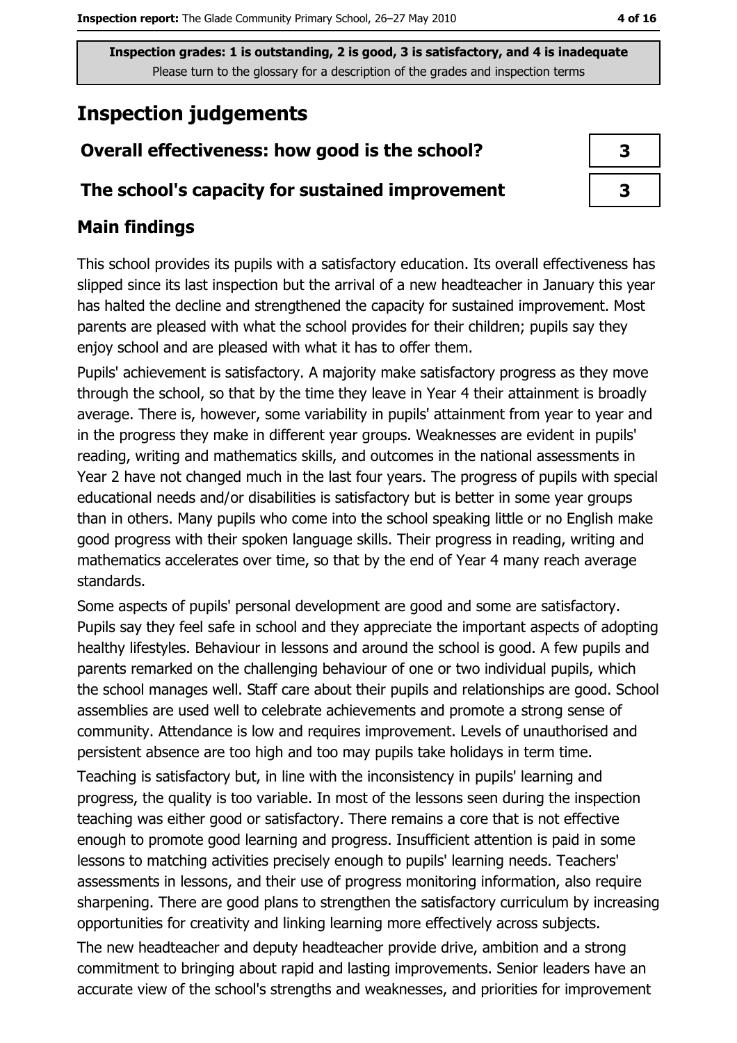## **Inspection judgements**

## Overall effectiveness: how good is the school?

#### The school's capacity for sustained improvement

### **Main findings**

This school provides its pupils with a satisfactory education. Its overall effectiveness has slipped since its last inspection but the arrival of a new headteacher in January this year has halted the decline and strengthened the capacity for sustained improvement. Most parents are pleased with what the school provides for their children; pupils say they enjoy school and are pleased with what it has to offer them.

Pupils' achievement is satisfactory. A majority make satisfactory progress as they move through the school, so that by the time they leave in Year 4 their attainment is broadly average. There is, however, some variability in pupils' attainment from year to year and in the progress they make in different year groups. Weaknesses are evident in pupils' reading, writing and mathematics skills, and outcomes in the national assessments in Year 2 have not changed much in the last four years. The progress of pupils with special educational needs and/or disabilities is satisfactory but is better in some year groups than in others. Many pupils who come into the school speaking little or no English make good progress with their spoken language skills. Their progress in reading, writing and mathematics accelerates over time, so that by the end of Year 4 many reach average standards.

Some aspects of pupils' personal development are good and some are satisfactory. Pupils say they feel safe in school and they appreciate the important aspects of adopting healthy lifestyles. Behaviour in lessons and around the school is good. A few pupils and parents remarked on the challenging behaviour of one or two individual pupils, which the school manages well. Staff care about their pupils and relationships are good. School assemblies are used well to celebrate achievements and promote a strong sense of community. Attendance is low and requires improvement. Levels of unauthorised and persistent absence are too high and too may pupils take holidays in term time.

Teaching is satisfactory but, in line with the inconsistency in pupils' learning and progress, the quality is too variable. In most of the lessons seen during the inspection teaching was either good or satisfactory. There remains a core that is not effective enough to promote good learning and progress. Insufficient attention is paid in some lessons to matching activities precisely enough to pupils' learning needs. Teachers' assessments in lessons, and their use of progress monitoring information, also require sharpening. There are good plans to strengthen the satisfactory curriculum by increasing opportunities for creativity and linking learning more effectively across subjects.

The new headteacher and deputy headteacher provide drive, ambition and a strong commitment to bringing about rapid and lasting improvements. Senior leaders have an accurate view of the school's strengths and weaknesses, and priorities for improvement

| 3 |
|---|
| З |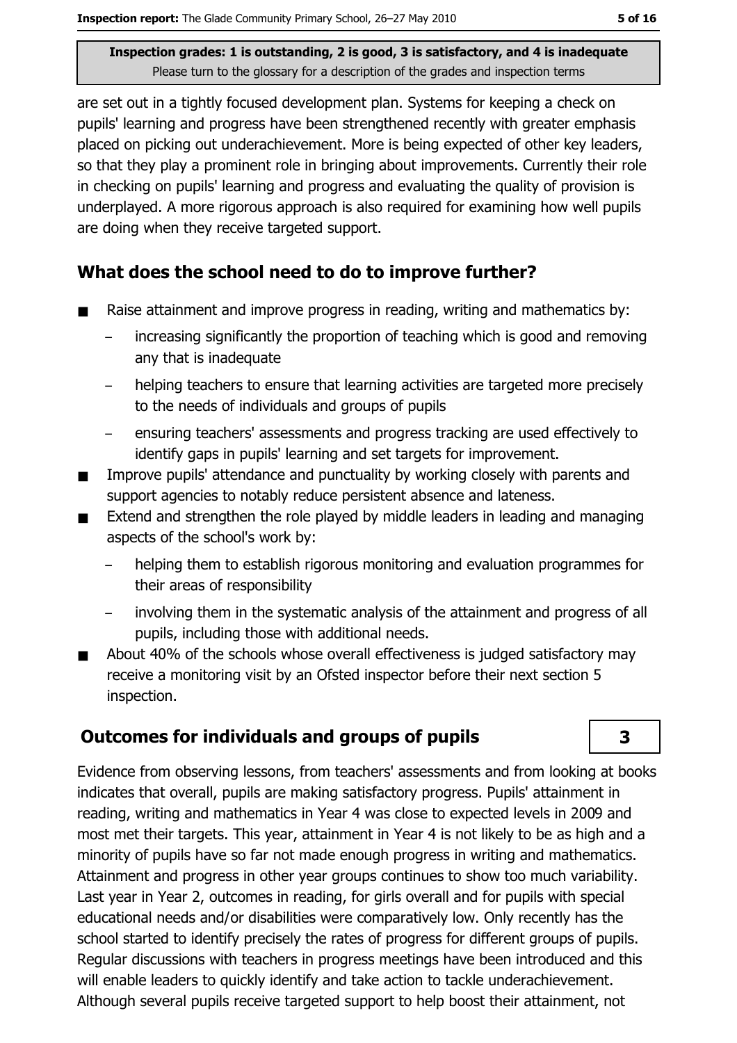are set out in a tightly focused development plan. Systems for keeping a check on pupils' learning and progress have been strengthened recently with greater emphasis placed on picking out underachievement. More is being expected of other key leaders, so that they play a prominent role in bringing about improvements. Currently their role in checking on pupils' learning and progress and evaluating the quality of provision is underplayed. A more rigorous approach is also required for examining how well pupils are doing when they receive targeted support.

#### What does the school need to do to improve further?

- Raise attainment and improve progress in reading, writing and mathematics by:
	- increasing significantly the proportion of teaching which is good and removing any that is inadequate
	- $\equiv$ helping teachers to ensure that learning activities are targeted more precisely to the needs of individuals and groups of pupils
	- ensuring teachers' assessments and progress tracking are used effectively to identify gaps in pupils' learning and set targets for improvement.
- Improve pupils' attendance and punctuality by working closely with parents and  $\blacksquare$ support agencies to notably reduce persistent absence and lateness.
- Extend and strengthen the role played by middle leaders in leading and managing aspects of the school's work by:
	- helping them to establish rigorous monitoring and evaluation programmes for their areas of responsibility
	- involving them in the systematic analysis of the attainment and progress of all pupils, including those with additional needs.
- About 40% of the schools whose overall effectiveness is judged satisfactory may receive a monitoring visit by an Ofsted inspector before their next section 5 inspection.

#### **Outcomes for individuals and groups of pupils**

Evidence from observing lessons, from teachers' assessments and from looking at books indicates that overall, pupils are making satisfactory progress. Pupils' attainment in reading, writing and mathematics in Year 4 was close to expected levels in 2009 and most met their targets. This year, attainment in Year 4 is not likely to be as high and a minority of pupils have so far not made enough progress in writing and mathematics. Attainment and progress in other year groups continues to show too much variability. Last year in Year 2, outcomes in reading, for girls overall and for pupils with special educational needs and/or disabilities were comparatively low. Only recently has the school started to identify precisely the rates of progress for different groups of pupils. Regular discussions with teachers in progress meetings have been introduced and this will enable leaders to quickly identify and take action to tackle underachievement. Although several pupils receive targeted support to help boost their attainment, not

3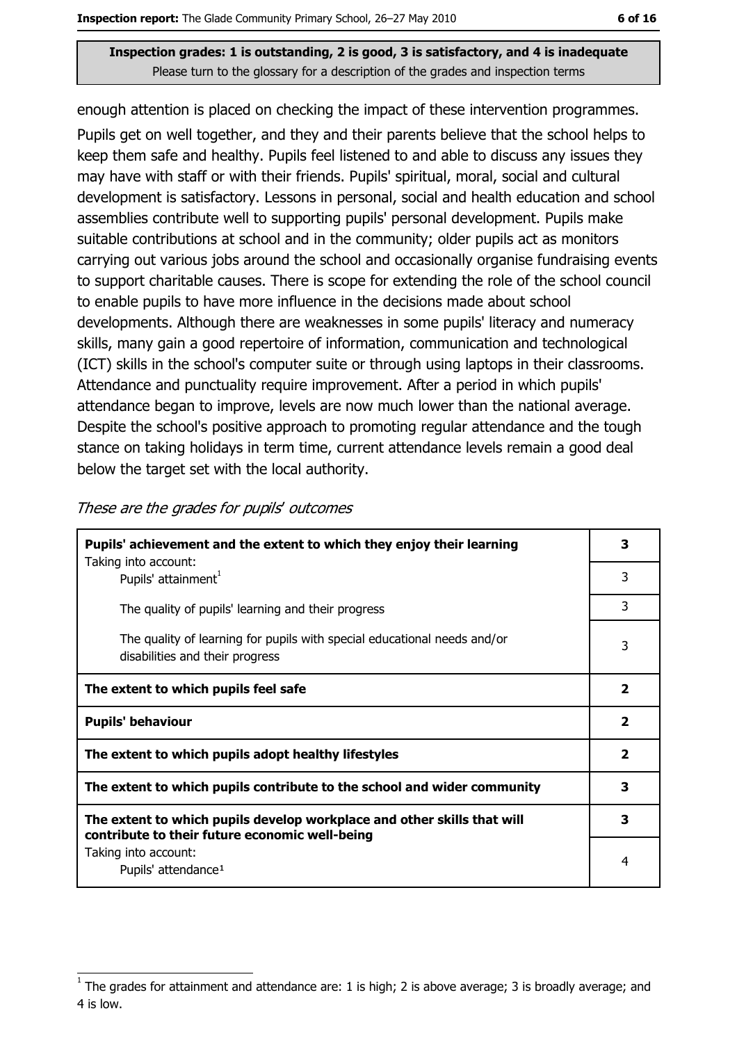enough attention is placed on checking the impact of these intervention programmes. Pupils get on well together, and they and their parents believe that the school helps to keep them safe and healthy. Pupils feel listened to and able to discuss any issues they may have with staff or with their friends. Pupils' spiritual, moral, social and cultural development is satisfactory. Lessons in personal, social and health education and school assemblies contribute well to supporting pupils' personal development. Pupils make suitable contributions at school and in the community; older pupils act as monitors carrying out various jobs around the school and occasionally organise fundraising events to support charitable causes. There is scope for extending the role of the school council to enable pupils to have more influence in the decisions made about school developments. Although there are weaknesses in some pupils' literacy and numeracy skills, many gain a good repertoire of information, communication and technological (ICT) skills in the school's computer suite or through using laptops in their classrooms. Attendance and punctuality require improvement. After a period in which pupils' attendance began to improve, levels are now much lower than the national average. Despite the school's positive approach to promoting regular attendance and the tough stance on taking holidays in term time, current attendance levels remain a good deal below the target set with the local authority.

| Pupils' achievement and the extent to which they enjoy their learning                                                     | 3                       |
|---------------------------------------------------------------------------------------------------------------------------|-------------------------|
| Taking into account:<br>Pupils' attainment <sup>1</sup>                                                                   | 3                       |
| The quality of pupils' learning and their progress                                                                        | 3                       |
| The quality of learning for pupils with special educational needs and/or<br>disabilities and their progress               | 3                       |
| The extent to which pupils feel safe                                                                                      | $\overline{\mathbf{2}}$ |
| <b>Pupils' behaviour</b>                                                                                                  | $\mathbf{2}$            |
| The extent to which pupils adopt healthy lifestyles                                                                       | $\mathbf{2}$            |
| The extent to which pupils contribute to the school and wider community                                                   | 3                       |
| The extent to which pupils develop workplace and other skills that will<br>contribute to their future economic well-being | 3                       |
| Taking into account:<br>Pupils' attendance <sup>1</sup>                                                                   | 4                       |

|  |  |  |  |  |  | These are the grades for pupils' outcomes |
|--|--|--|--|--|--|-------------------------------------------|
|--|--|--|--|--|--|-------------------------------------------|

The grades for attainment and attendance are: 1 is high; 2 is above average; 3 is broadly average; and 4 is low.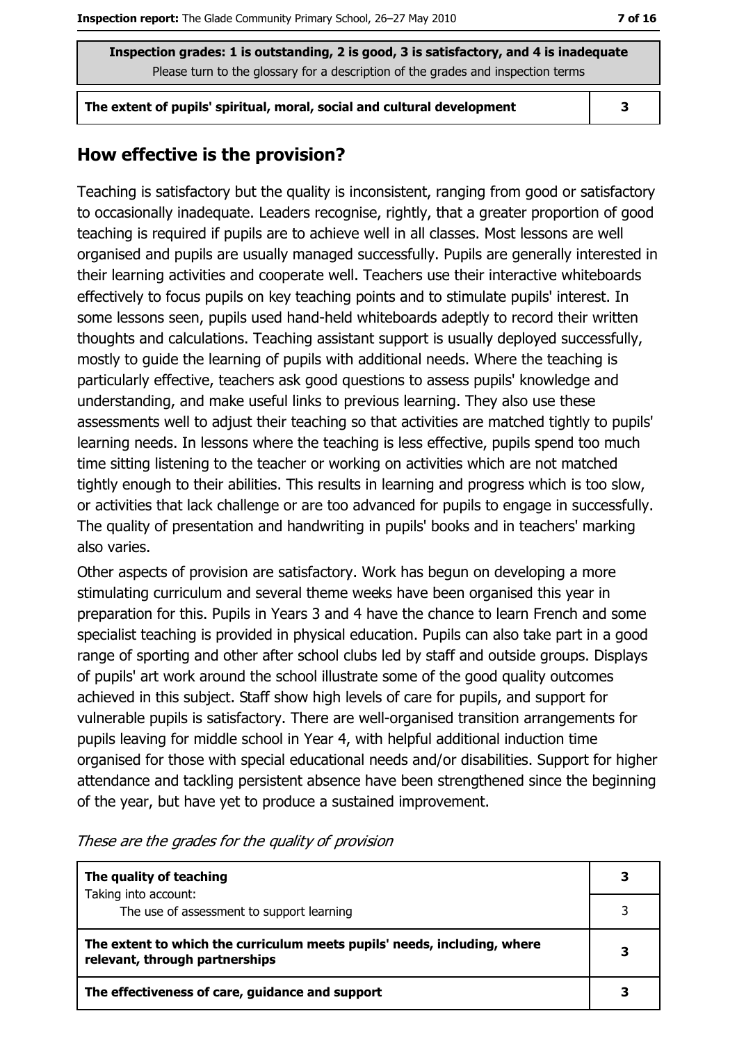The extent of pupils' spiritual, moral, social and cultural development

 $\overline{\mathbf{3}}$ 

#### How effective is the provision?

Teaching is satisfactory but the quality is inconsistent, ranging from good or satisfactory to occasionally inadequate. Leaders recognise, rightly, that a greater proportion of good teaching is required if pupils are to achieve well in all classes. Most lessons are well organised and pupils are usually managed successfully. Pupils are generally interested in their learning activities and cooperate well. Teachers use their interactive whiteboards effectively to focus pupils on key teaching points and to stimulate pupils' interest. In some lessons seen, pupils used hand-held whiteboards adeptly to record their written thoughts and calculations. Teaching assistant support is usually deployed successfully, mostly to quide the learning of pupils with additional needs. Where the teaching is particularly effective, teachers ask good questions to assess pupils' knowledge and understanding, and make useful links to previous learning. They also use these assessments well to adjust their teaching so that activities are matched tightly to pupils' learning needs. In lessons where the teaching is less effective, pupils spend too much time sitting listening to the teacher or working on activities which are not matched tightly enough to their abilities. This results in learning and progress which is too slow, or activities that lack challenge or are too advanced for pupils to engage in successfully. The quality of presentation and handwriting in pupils' books and in teachers' marking also varies.

Other aspects of provision are satisfactory. Work has begun on developing a more stimulating curriculum and several theme weeks have been organised this year in preparation for this. Pupils in Years 3 and 4 have the chance to learn French and some specialist teaching is provided in physical education. Pupils can also take part in a good range of sporting and other after school clubs led by staff and outside groups. Displays of pupils' art work around the school illustrate some of the good quality outcomes achieved in this subject. Staff show high levels of care for pupils, and support for vulnerable pupils is satisfactory. There are well-organised transition arrangements for pupils leaving for middle school in Year 4, with helpful additional induction time organised for those with special educational needs and/or disabilities. Support for higher attendance and tackling persistent absence have been strengthened since the beginning of the year, but have yet to produce a sustained improvement.

| The quality of teaching                                                                                    |  |  |
|------------------------------------------------------------------------------------------------------------|--|--|
| Taking into account:<br>The use of assessment to support learning                                          |  |  |
| The extent to which the curriculum meets pupils' needs, including, where<br>relevant, through partnerships |  |  |
| The effectiveness of care, guidance and support                                                            |  |  |

These are the grades for the quality of provision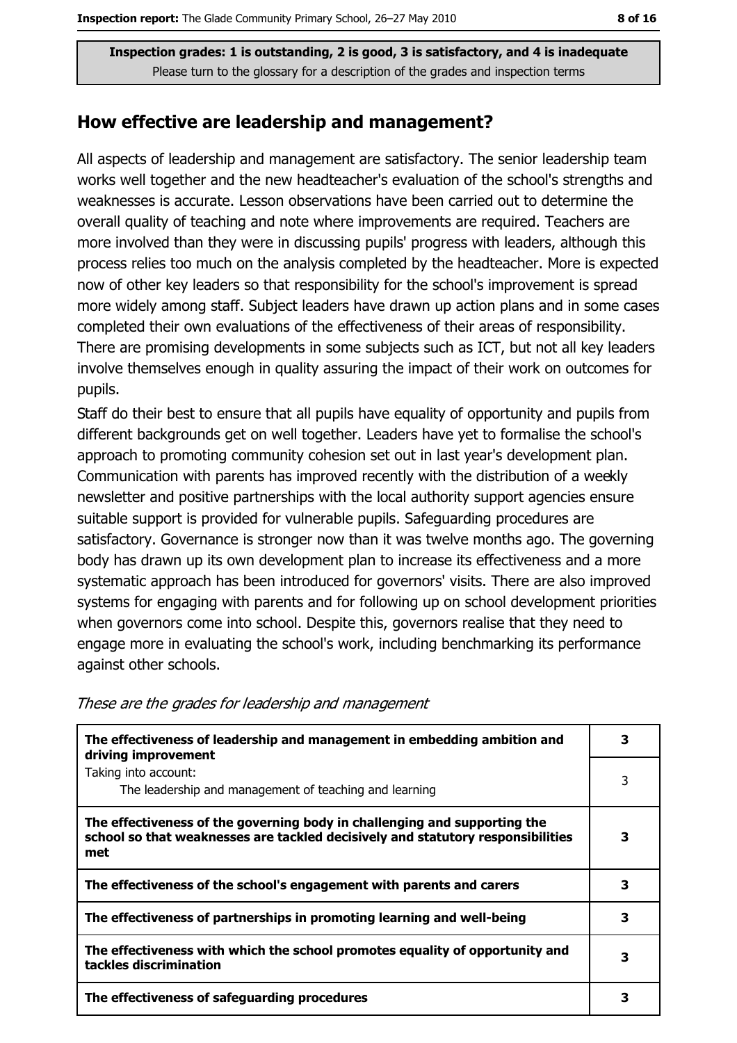#### How effective are leadership and management?

All aspects of leadership and management are satisfactory. The senior leadership team works well together and the new headteacher's evaluation of the school's strengths and weaknesses is accurate. Lesson observations have been carried out to determine the overall quality of teaching and note where improvements are required. Teachers are more involved than they were in discussing pupils' progress with leaders, although this process relies too much on the analysis completed by the headteacher. More is expected now of other key leaders so that responsibility for the school's improvement is spread more widely among staff. Subject leaders have drawn up action plans and in some cases completed their own evaluations of the effectiveness of their areas of responsibility. There are promising developments in some subjects such as ICT, but not all key leaders involve themselves enough in quality assuring the impact of their work on outcomes for pupils.

Staff do their best to ensure that all pupils have equality of opportunity and pupils from different backgrounds get on well together. Leaders have yet to formalise the school's approach to promoting community cohesion set out in last year's development plan. Communication with parents has improved recently with the distribution of a weekly newsletter and positive partnerships with the local authority support agencies ensure suitable support is provided for vulnerable pupils. Safeguarding procedures are satisfactory. Governance is stronger now than it was twelve months ago. The governing body has drawn up its own development plan to increase its effectiveness and a more systematic approach has been introduced for governors' visits. There are also improved systems for engaging with parents and for following up on school development priorities when governors come into school. Despite this, governors realise that they need to engage more in evaluating the school's work, including benchmarking its performance against other schools.

| The effectiveness of leadership and management in embedding ambition and<br>driving improvement                                                                     |   |  |  |
|---------------------------------------------------------------------------------------------------------------------------------------------------------------------|---|--|--|
| Taking into account:<br>The leadership and management of teaching and learning                                                                                      | 3 |  |  |
| The effectiveness of the governing body in challenging and supporting the<br>school so that weaknesses are tackled decisively and statutory responsibilities<br>met | З |  |  |
| The effectiveness of the school's engagement with parents and carers                                                                                                | 3 |  |  |
| The effectiveness of partnerships in promoting learning and well-being                                                                                              | з |  |  |
| The effectiveness with which the school promotes equality of opportunity and<br>tackles discrimination                                                              | 3 |  |  |
| The effectiveness of safeguarding procedures                                                                                                                        | 3 |  |  |

These are the grades for leadership and management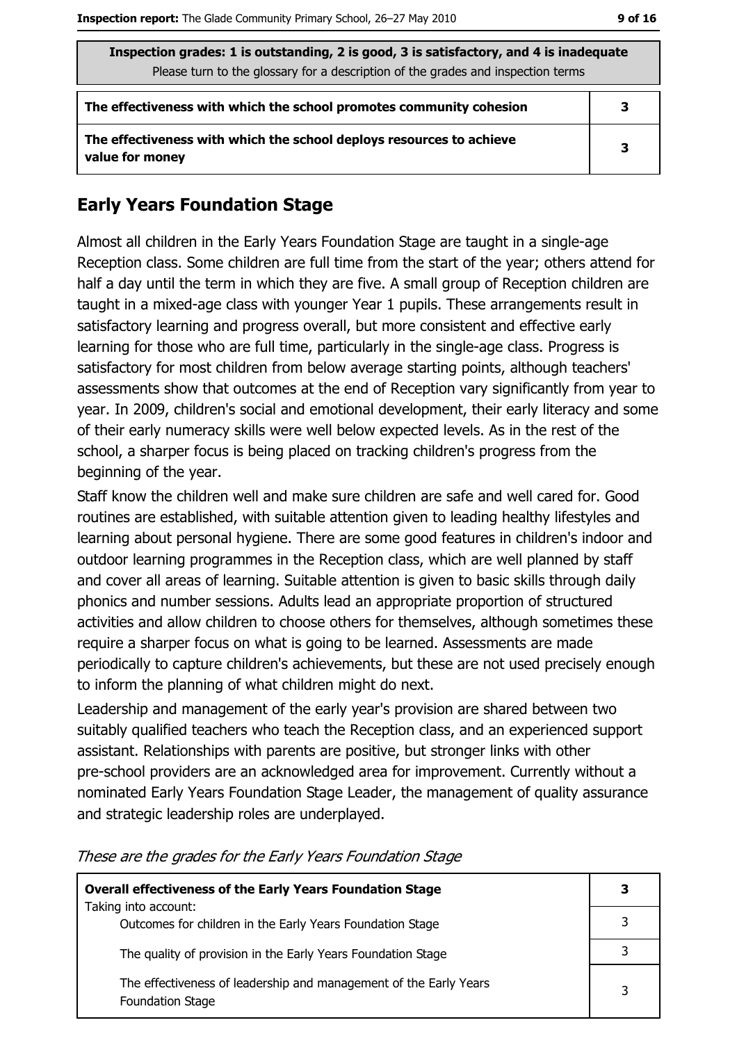| Inspection grades: 1 is outstanding, 2 is good, 3 is satisfactory, and 4 is inadequate  |   |  |  |
|-----------------------------------------------------------------------------------------|---|--|--|
| Please turn to the glossary for a description of the grades and inspection terms        |   |  |  |
| The effectiveness with which the school promotes community cohesion                     | 3 |  |  |
| The effectiveness with which the school deploys resources to achieve<br>value for money | 3 |  |  |

#### **Early Years Foundation Stage**

Almost all children in the Early Years Foundation Stage are taught in a single-age Reception class. Some children are full time from the start of the year; others attend for half a day until the term in which they are five. A small group of Reception children are taught in a mixed-age class with younger Year 1 pupils. These arrangements result in satisfactory learning and progress overall, but more consistent and effective early learning for those who are full time, particularly in the single-age class. Progress is satisfactory for most children from below average starting points, although teachers' assessments show that outcomes at the end of Reception vary significantly from year to year. In 2009, children's social and emotional development, their early literacy and some of their early numeracy skills were well below expected levels. As in the rest of the school, a sharper focus is being placed on tracking children's progress from the beginning of the year.

Staff know the children well and make sure children are safe and well cared for. Good routines are established, with suitable attention given to leading healthy lifestyles and learning about personal hygiene. There are some good features in children's indoor and outdoor learning programmes in the Reception class, which are well planned by staff and cover all areas of learning. Suitable attention is given to basic skills through daily phonics and number sessions. Adults lead an appropriate proportion of structured activities and allow children to choose others for themselves, although sometimes these require a sharper focus on what is going to be learned. Assessments are made periodically to capture children's achievements, but these are not used precisely enough to inform the planning of what children might do next.

Leadership and management of the early year's provision are shared between two suitably qualified teachers who teach the Reception class, and an experienced support assistant. Relationships with parents are positive, but stronger links with other pre-school providers are an acknowledged area for improvement. Currently without a nominated Early Years Foundation Stage Leader, the management of quality assurance and strategic leadership roles are underplayed.

| <b>Overall effectiveness of the Early Years Foundation Stage</b>                      |   |
|---------------------------------------------------------------------------------------|---|
| Taking into account:<br>Outcomes for children in the Early Years Foundation Stage     |   |
| The quality of provision in the Early Years Foundation Stage                          |   |
| The effectiveness of leadership and management of the Early Years<br>Foundation Stage | 3 |

These are the grades for the Early Years Foundation Stage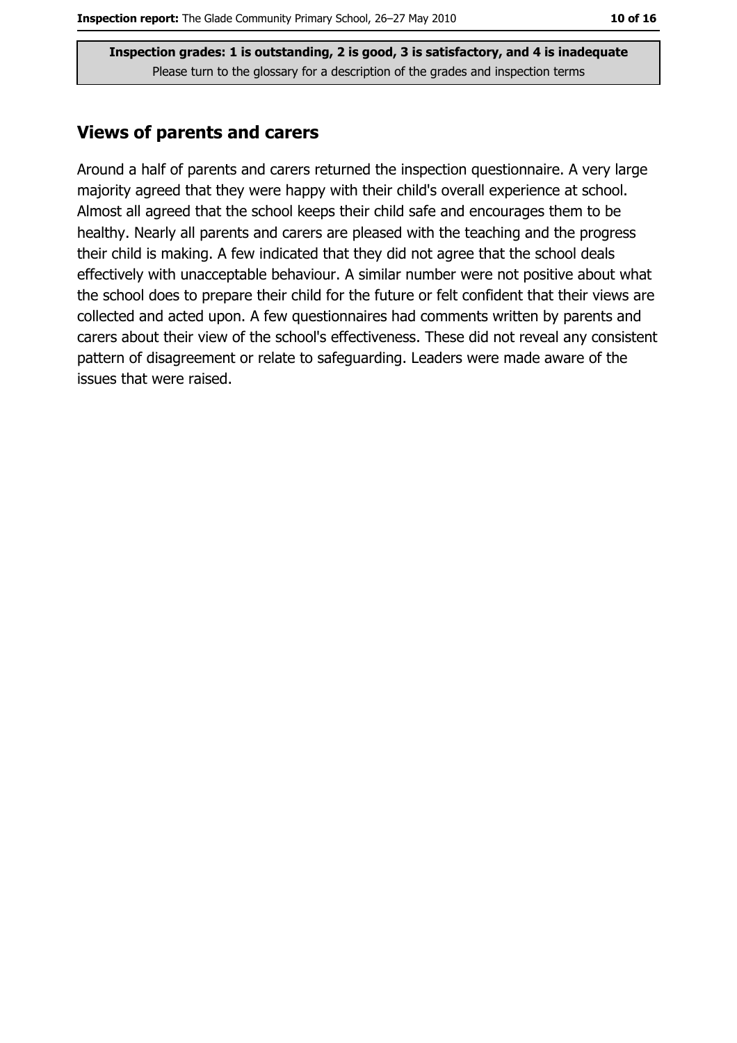#### **Views of parents and carers**

Around a half of parents and carers returned the inspection questionnaire. A very large majority agreed that they were happy with their child's overall experience at school. Almost all agreed that the school keeps their child safe and encourages them to be healthy. Nearly all parents and carers are pleased with the teaching and the progress their child is making. A few indicated that they did not agree that the school deals effectively with unacceptable behaviour. A similar number were not positive about what the school does to prepare their child for the future or felt confident that their views are collected and acted upon. A few questionnaires had comments written by parents and carers about their view of the school's effectiveness. These did not reveal any consistent pattern of disagreement or relate to safeguarding. Leaders were made aware of the issues that were raised.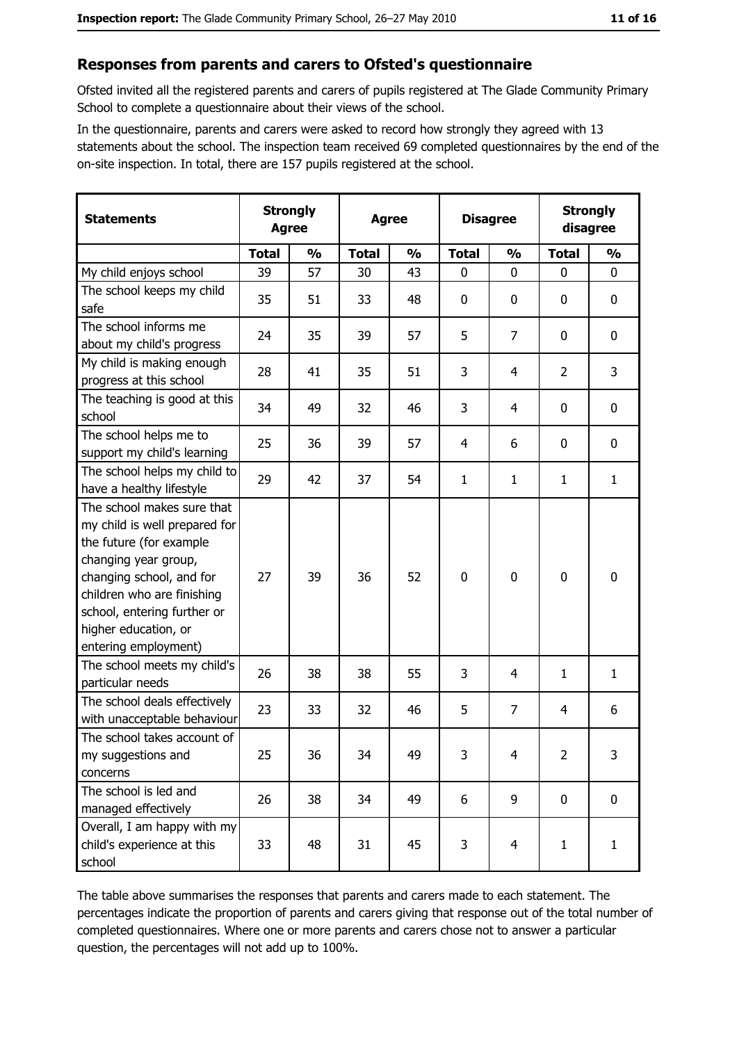#### Responses from parents and carers to Ofsted's questionnaire

Ofsted invited all the registered parents and carers of pupils registered at The Glade Community Primary School to complete a questionnaire about their views of the school.

In the questionnaire, parents and carers were asked to record how strongly they agreed with 13 statements about the school. The inspection team received 69 completed questionnaires by the end of the on-site inspection. In total, there are 157 pupils registered at the school.

| <b>Statements</b>                                                                                                                                                                                                                                       | <b>Strongly</b><br><b>Agree</b> |               | <b>Agree</b> |               | <b>Disagree</b> |                | <b>Strongly</b><br>disagree |               |
|---------------------------------------------------------------------------------------------------------------------------------------------------------------------------------------------------------------------------------------------------------|---------------------------------|---------------|--------------|---------------|-----------------|----------------|-----------------------------|---------------|
|                                                                                                                                                                                                                                                         | <b>Total</b>                    | $\frac{0}{0}$ | <b>Total</b> | $\frac{0}{0}$ | <b>Total</b>    | $\frac{0}{0}$  | <b>Total</b>                | $\frac{0}{0}$ |
| My child enjoys school                                                                                                                                                                                                                                  | 39                              | 57            | 30           | 43            | $\mathbf 0$     | 0              | 0                           | 0             |
| The school keeps my child<br>safe                                                                                                                                                                                                                       | 35                              | 51            | 33           | 48            | 0               | 0              | $\mathbf 0$                 | 0             |
| The school informs me<br>about my child's progress                                                                                                                                                                                                      | 24                              | 35            | 39           | 57            | 5               | 7              | 0                           | 0             |
| My child is making enough<br>progress at this school                                                                                                                                                                                                    | 28                              | 41            | 35           | 51            | 3               | 4              | 2                           | 3             |
| The teaching is good at this<br>school                                                                                                                                                                                                                  | 34                              | 49            | 32           | 46            | 3               | 4              | $\mathbf 0$                 | 0             |
| The school helps me to<br>support my child's learning                                                                                                                                                                                                   | 25                              | 36            | 39           | 57            | $\overline{4}$  | 6              | 0                           | 0             |
| The school helps my child to<br>have a healthy lifestyle                                                                                                                                                                                                | 29                              | 42            | 37           | 54            | $\mathbf{1}$    | 1              | 1                           | $\mathbf{1}$  |
| The school makes sure that<br>my child is well prepared for<br>the future (for example<br>changing year group,<br>changing school, and for<br>children who are finishing<br>school, entering further or<br>higher education, or<br>entering employment) | 27                              | 39            | 36           | 52            | $\mathbf 0$     | 0              | 0                           | 0             |
| The school meets my child's<br>particular needs                                                                                                                                                                                                         | 26                              | 38            | 38           | 55            | 3               | 4              | 1                           | $\mathbf{1}$  |
| The school deals effectively<br>with unacceptable behaviour                                                                                                                                                                                             | 23                              | 33            | 32           | 46            | 5               | 7              | 4                           | 6             |
| The school takes account of<br>my suggestions and<br>concerns                                                                                                                                                                                           | 25                              | 36            | 34           | 49            | 3               | 4              | $\overline{2}$              | 3             |
| The school is led and<br>managed effectively                                                                                                                                                                                                            | 26                              | 38            | 34           | 49            | 6               | 9              | $\bf{0}$                    | $\bf{0}$      |
| Overall, I am happy with my<br>child's experience at this<br>school                                                                                                                                                                                     | 33                              | 48            | 31           | 45            | 3               | $\overline{4}$ | $\mathbf{1}$                | $\mathbf{1}$  |

The table above summarises the responses that parents and carers made to each statement. The percentages indicate the proportion of parents and carers giving that response out of the total number of completed questionnaires. Where one or more parents and carers chose not to answer a particular question, the percentages will not add up to 100%.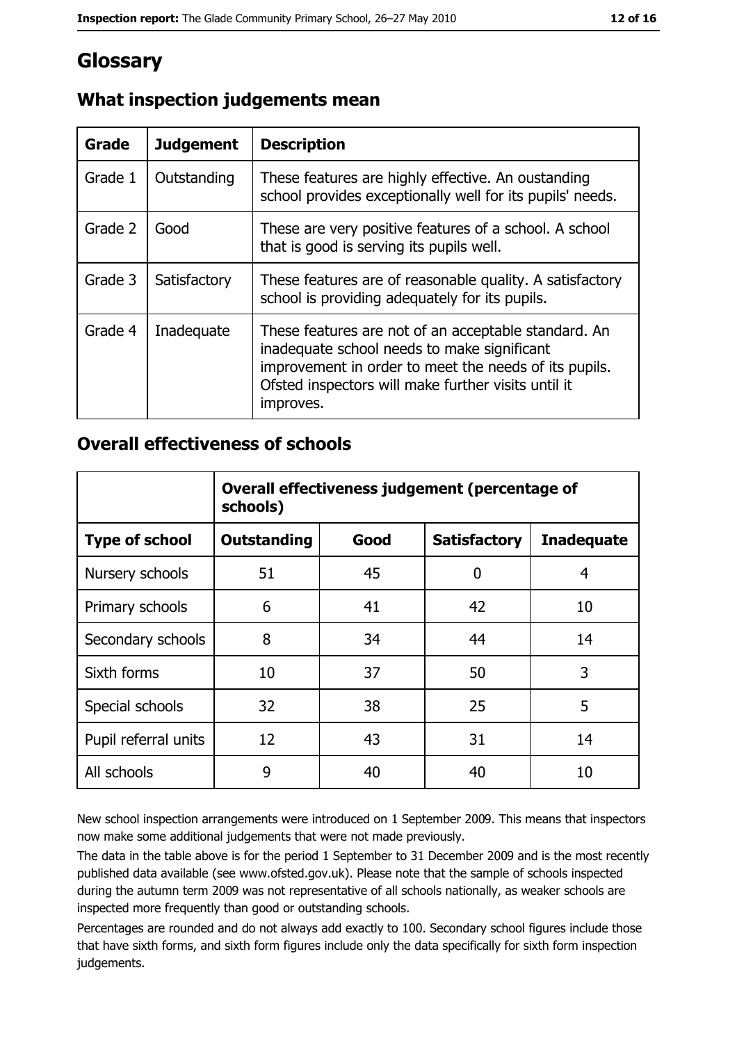## Glossary

| Grade   | <b>Judgement</b> | <b>Description</b>                                                                                                                                                                                                               |
|---------|------------------|----------------------------------------------------------------------------------------------------------------------------------------------------------------------------------------------------------------------------------|
| Grade 1 | Outstanding      | These features are highly effective. An oustanding<br>school provides exceptionally well for its pupils' needs.                                                                                                                  |
| Grade 2 | Good             | These are very positive features of a school. A school<br>that is good is serving its pupils well.                                                                                                                               |
| Grade 3 | Satisfactory     | These features are of reasonable quality. A satisfactory<br>school is providing adequately for its pupils.                                                                                                                       |
| Grade 4 | Inadequate       | These features are not of an acceptable standard. An<br>inadequate school needs to make significant<br>improvement in order to meet the needs of its pupils.<br>Ofsted inspectors will make further visits until it<br>improves. |

## What inspection judgements mean

#### **Overall effectiveness of schools**

|                       | Overall effectiveness judgement (percentage of<br>schools) |      |                     |                   |
|-----------------------|------------------------------------------------------------|------|---------------------|-------------------|
| <b>Type of school</b> | <b>Outstanding</b>                                         | Good | <b>Satisfactory</b> | <b>Inadequate</b> |
| Nursery schools       | 51                                                         | 45   | O                   | 4                 |
| Primary schools       | 6                                                          | 41   | 42                  | 10                |
| Secondary schools     | 8                                                          | 34   | 44                  | 14                |
| Sixth forms           | 10                                                         | 37   | 50                  | 3                 |
| Special schools       | 32                                                         | 38   | 25                  | 5                 |
| Pupil referral units  | 12                                                         | 43   | 31                  | 14                |
| All schools           | 9                                                          | 40   | 40                  | 10                |

New school inspection arrangements were introduced on 1 September 2009. This means that inspectors now make some additional judgements that were not made previously.

The data in the table above is for the period 1 September to 31 December 2009 and is the most recently published data available (see www.ofsted.gov.uk). Please note that the sample of schools inspected during the autumn term 2009 was not representative of all schools nationally, as weaker schools are inspected more frequently than good or outstanding schools.

Percentages are rounded and do not always add exactly to 100. Secondary school figures include those that have sixth forms, and sixth form figures include only the data specifically for sixth form inspection judgements.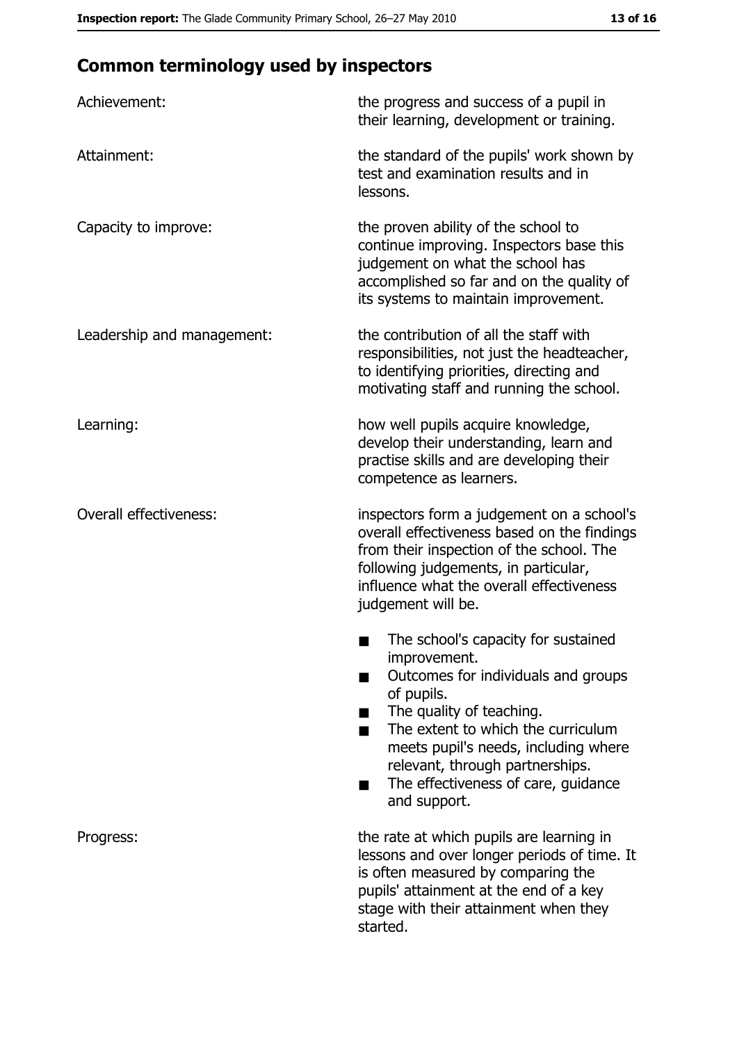## **Common terminology used by inspectors**

| Achievement:                  | the progress and success of a pupil in<br>their learning, development or training.                                                                                                                                                                                                                           |  |  |
|-------------------------------|--------------------------------------------------------------------------------------------------------------------------------------------------------------------------------------------------------------------------------------------------------------------------------------------------------------|--|--|
| Attainment:                   | the standard of the pupils' work shown by<br>test and examination results and in<br>lessons.                                                                                                                                                                                                                 |  |  |
| Capacity to improve:          | the proven ability of the school to<br>continue improving. Inspectors base this<br>judgement on what the school has<br>accomplished so far and on the quality of<br>its systems to maintain improvement.                                                                                                     |  |  |
| Leadership and management:    | the contribution of all the staff with<br>responsibilities, not just the headteacher,<br>to identifying priorities, directing and<br>motivating staff and running the school.                                                                                                                                |  |  |
| Learning:                     | how well pupils acquire knowledge,<br>develop their understanding, learn and<br>practise skills and are developing their<br>competence as learners.                                                                                                                                                          |  |  |
| <b>Overall effectiveness:</b> | inspectors form a judgement on a school's<br>overall effectiveness based on the findings<br>from their inspection of the school. The<br>following judgements, in particular,<br>influence what the overall effectiveness<br>judgement will be.                                                               |  |  |
|                               | The school's capacity for sustained<br>improvement.<br>Outcomes for individuals and groups<br>of pupils.<br>The quality of teaching.<br>The extent to which the curriculum<br>meets pupil's needs, including where<br>relevant, through partnerships.<br>The effectiveness of care, guidance<br>and support. |  |  |
| Progress:                     | the rate at which pupils are learning in<br>lessons and over longer periods of time. It<br>is often measured by comparing the<br>pupils' attainment at the end of a key<br>stage with their attainment when they<br>started.                                                                                 |  |  |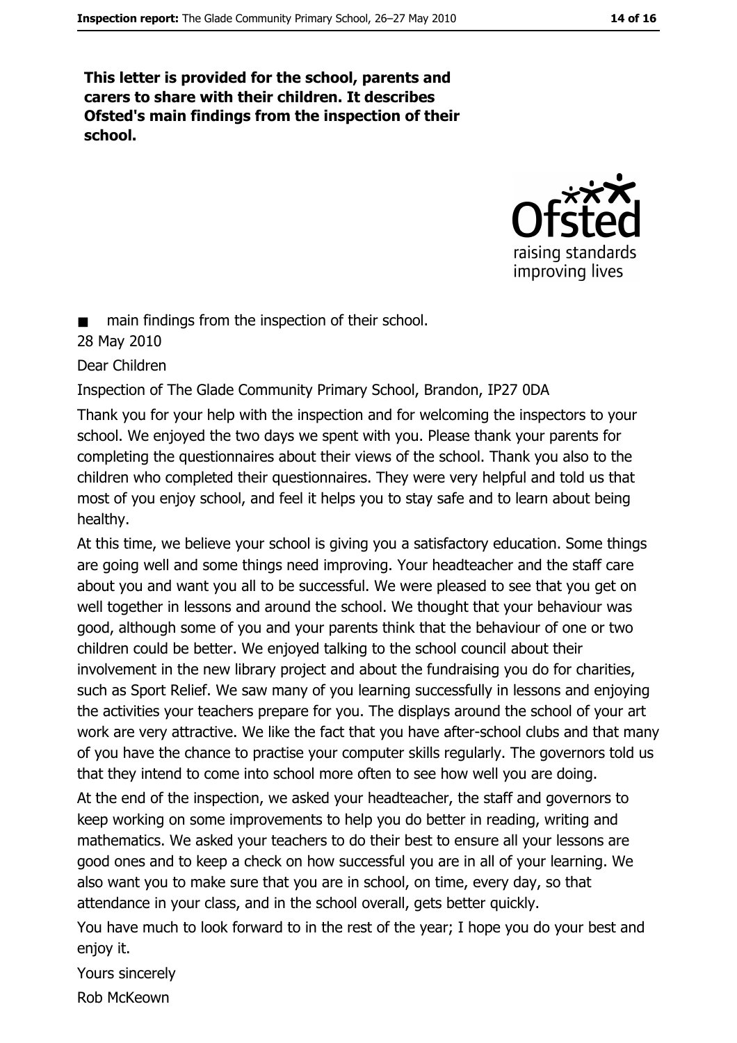This letter is provided for the school, parents and carers to share with their children. It describes Ofsted's main findings from the inspection of their school.



main findings from the inspection of their school.

#### 28 May 2010

Dear Children

Inspection of The Glade Community Primary School, Brandon, IP27 0DA

Thank you for your help with the inspection and for welcoming the inspectors to your school. We enjoyed the two days we spent with you. Please thank your parents for completing the questionnaires about their views of the school. Thank you also to the children who completed their questionnaires. They were very helpful and told us that most of you enjoy school, and feel it helps you to stay safe and to learn about being healthy.

At this time, we believe your school is giving you a satisfactory education. Some things are going well and some things need improving. Your headteacher and the staff care about you and want you all to be successful. We were pleased to see that you get on well together in lessons and around the school. We thought that your behaviour was good, although some of you and your parents think that the behaviour of one or two children could be better. We enjoyed talking to the school council about their involvement in the new library project and about the fundraising you do for charities, such as Sport Relief. We saw many of you learning successfully in lessons and enjoying the activities your teachers prepare for you. The displays around the school of your art work are very attractive. We like the fact that you have after-school clubs and that many of you have the chance to practise your computer skills regularly. The governors told us that they intend to come into school more often to see how well you are doing.

At the end of the inspection, we asked your headteacher, the staff and governors to keep working on some improvements to help you do better in reading, writing and mathematics. We asked your teachers to do their best to ensure all your lessons are good ones and to keep a check on how successful you are in all of your learning. We also want you to make sure that you are in school, on time, every day, so that attendance in your class, and in the school overall, gets better quickly.

You have much to look forward to in the rest of the year; I hope you do your best and enjoy it.

Yours sincerely

Rob McKeown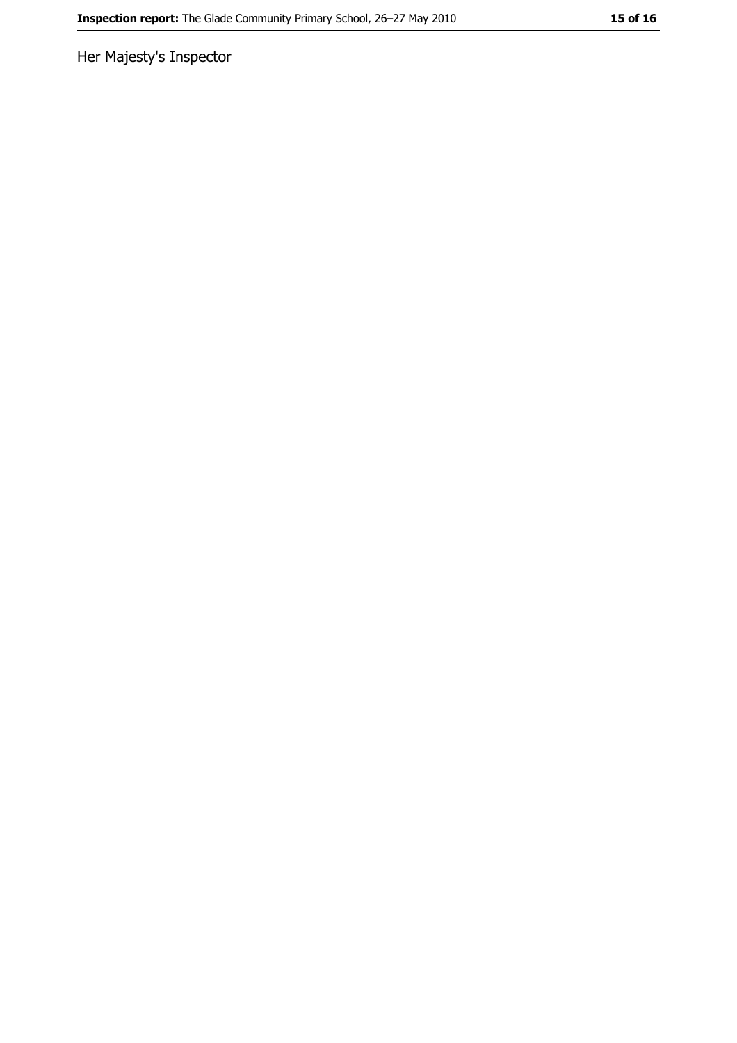Her Majesty's Inspector